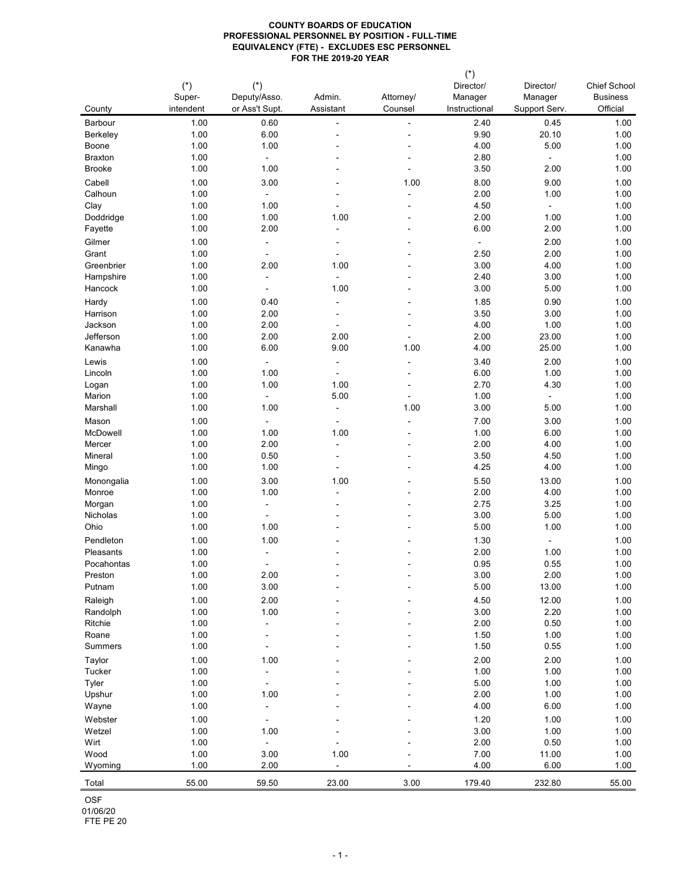| County                            | $(*)$<br>Super-<br>intendent | $(*)$<br>Deputy/Asso.<br>or Ass't Supt. | Admin.<br>Assistant              | Attorney/<br>Counsel     | $(\dot{a})$<br>Director/<br>Manager<br>Instructional | Director/<br>Manager<br>Support Serv. | <b>Chief School</b><br><b>Business</b><br>Official |
|-----------------------------------|------------------------------|-----------------------------------------|----------------------------------|--------------------------|------------------------------------------------------|---------------------------------------|----------------------------------------------------|
|                                   |                              |                                         |                                  |                          |                                                      |                                       |                                                    |
| <b>Barbour</b><br><b>Berkeley</b> | 1.00<br>1.00                 | 0.60<br>6.00                            | $\blacksquare$<br>$\blacksquare$ | $\blacksquare$           | 2.40<br>9.90                                         | 0.45<br>20.10                         | 1.00<br>1.00                                       |
| <b>Boone</b>                      | 1.00                         | 1.00                                    |                                  |                          | 4.00                                                 | 5.00                                  | 1.00                                               |
| <b>Braxton</b>                    | 1.00                         | $\blacksquare$                          |                                  |                          | 2.80                                                 | $\blacksquare$                        | 1.00                                               |
| <b>Brooke</b>                     | 1.00                         | 1.00                                    | $\overline{\phantom{a}}$         |                          | 3.50                                                 | 2.00                                  | 1.00                                               |
| Cabell                            | 1.00                         | 3.00                                    |                                  | 1.00                     | 8.00                                                 | 9.00                                  | 1.00                                               |
| Calhoun                           | 1.00                         | $\overline{a}$                          | $\blacksquare$                   | $\overline{\phantom{a}}$ | 2.00                                                 | 1.00                                  | 1.00                                               |
| Clay                              | 1.00                         | 1.00                                    |                                  | $\blacksquare$           | 4.50                                                 | $\blacksquare$                        | 1.00                                               |
| Doddridge                         | 1.00                         | 1.00                                    | 1.00                             | $\blacksquare$           | 2.00                                                 | 1.00                                  | 1.00                                               |
| Fayette                           | 1.00                         | 2.00                                    | $\blacksquare$                   |                          | 6.00                                                 | 2.00                                  | 1.00                                               |
| Gilmer                            | 1.00                         | $\blacksquare$                          | $\blacksquare$                   |                          | $\qquad \qquad \blacksquare$                         | 2.00                                  | 1.00                                               |
| Grant                             | 1.00                         | $\blacksquare$                          | $\blacksquare$                   |                          | 2.50                                                 | 2.00                                  | 1.00                                               |
| Greenbrier                        | 1.00                         | 2.00                                    | 1.00                             |                          | 3.00                                                 | 4.00                                  | 1.00                                               |
| Hampshire                         | 1.00                         | $\blacksquare$                          |                                  |                          | 2.40                                                 | 3.00                                  | 1.00                                               |
| Hancock                           | 1.00                         | $\blacksquare$                          | 1.00                             |                          | 3.00                                                 | 5.00                                  | 1.00                                               |
| Hardy                             | 1.00                         | 0.40                                    | $\blacksquare$                   | $\overline{\phantom{a}}$ | 1.85                                                 | 0.90                                  | 1.00                                               |
| Harrison                          | 1.00                         | 2.00                                    | $\blacksquare$                   |                          | 3.50                                                 | 3.00                                  | 1.00                                               |
| Jackson                           | 1.00                         | 2.00                                    |                                  |                          | 4.00                                                 | 1.00                                  | 1.00                                               |
| Jefferson                         | 1.00                         | 2.00                                    | 2.00                             |                          | 2.00                                                 | 23.00                                 | 1.00                                               |
| Kanawha                           | 1.00                         | 6.00                                    | 9.00                             | 1.00                     | 4.00                                                 | 25.00                                 | 1.00                                               |
| Lewis                             | 1.00                         | $\overline{a}$                          | $\blacksquare$                   | $\blacksquare$           | 3.40                                                 | 2.00                                  | 1.00                                               |
| Lincoln                           | 1.00                         | 1.00                                    | -                                |                          | 6.00                                                 | 1.00                                  | 1.00                                               |
| Logan                             | 1.00                         | 1.00                                    | 1.00                             |                          | 2.70                                                 | 4.30                                  | 1.00                                               |
| Marion                            | 1.00                         | $\blacksquare$                          | 5.00                             |                          | 1.00                                                 | $\blacksquare$                        | 1.00                                               |
| Marshall                          | 1.00                         | 1.00                                    | $\blacksquare$                   | 1.00                     | 3.00                                                 | 5.00                                  | 1.00                                               |
| Mason                             | 1.00                         | $\overline{\phantom{a}}$                | $\blacksquare$                   |                          | 7.00                                                 | 3.00                                  | 1.00                                               |
| McDowell                          | 1.00                         | 1.00                                    | 1.00                             |                          | 1.00                                                 | 6.00                                  | 1.00                                               |
| Mercer                            | 1.00                         | 2.00                                    |                                  |                          | 2.00                                                 | 4.00                                  | 1.00                                               |
| Mineral                           | 1.00                         | 0.50                                    | $\blacksquare$                   |                          | 3.50                                                 | 4.50                                  | 1.00                                               |
| Mingo                             | 1.00                         | 1.00                                    | -                                |                          | 4.25                                                 | 4.00                                  | 1.00                                               |
| Monongalia                        | 1.00                         | 3.00                                    | 1.00                             |                          | 5.50                                                 | 13.00                                 | 1.00                                               |
| Monroe                            | 1.00                         | 1.00                                    | $\overline{\phantom{a}}$         |                          | 2.00                                                 | 4.00                                  | 1.00                                               |
| Morgan                            | 1.00                         |                                         |                                  |                          | 2.75                                                 | 3.25                                  | 1.00                                               |
| Nicholas                          | 1.00                         |                                         |                                  |                          | 3.00                                                 | 5.00                                  | 1.00                                               |
| Ohio                              | 1.00                         | 1.00                                    |                                  |                          | 5.00                                                 | 1.00                                  | 1.00                                               |
| Pendleton                         | 1.00                         | 1.00                                    | $\overline{\phantom{a}}$         |                          | 1.30                                                 | $\blacksquare$                        | 1.00                                               |
| Pleasants                         | 1.00                         |                                         |                                  |                          | 2.00                                                 | 1.00                                  | 1.00                                               |
| Pocahontas                        | 1.00                         | $\blacksquare$                          |                                  |                          | 0.95                                                 | 0.55                                  | 1.00                                               |
| Preston                           | 1.00                         | 2.00                                    |                                  |                          | 3.00                                                 | 2.00                                  | 1.00                                               |
| Putnam                            | 1.00                         | 3.00                                    | $\qquad \qquad \blacksquare$     |                          | 5.00                                                 | 13.00                                 | 1.00                                               |
| Raleigh                           | 1.00                         | 2.00                                    |                                  |                          | 4.50                                                 | 12.00                                 | 1.00                                               |
| Randolph                          | 1.00                         | 1.00                                    |                                  |                          | 3.00                                                 | 2.20                                  | 1.00                                               |
| Ritchie                           | 1.00                         |                                         |                                  |                          | 2.00                                                 | 0.50                                  | 1.00                                               |
| Roane                             | 1.00                         |                                         |                                  |                          | 1.50                                                 | 1.00                                  | 1.00                                               |
| <b>Summers</b>                    | 1.00                         |                                         |                                  |                          | 1.50                                                 | 0.55                                  | 1.00                                               |
| Taylor                            | 1.00                         | 1.00                                    |                                  |                          | 2.00                                                 | 2.00                                  | 1.00                                               |
| Tucker                            | 1.00                         |                                         |                                  |                          | 1.00                                                 | 1.00                                  | 1.00                                               |
| Tyler                             | 1.00                         |                                         |                                  |                          | 5.00                                                 | 1.00                                  | 1.00                                               |
| Upshur                            | 1.00                         | 1.00                                    |                                  |                          | 2.00                                                 | 1.00                                  | 1.00                                               |
| Wayne                             | 1.00                         | $\blacksquare$                          |                                  |                          | 4.00                                                 | 6.00                                  | 1.00                                               |
| Webster                           | 1.00                         |                                         |                                  |                          | 1.20                                                 | 1.00                                  | 1.00                                               |
| Wetzel                            | 1.00                         | 1.00                                    |                                  |                          | 3.00                                                 | 1.00                                  | 1.00                                               |
| Wirt<br>Wood                      | 1.00<br>1.00                 | $\blacksquare$<br>3.00                  | 1.00                             |                          | 2.00<br>7.00                                         | 0.50<br>11.00                         | 1.00<br>1.00                                       |
|                                   | 1.00                         | 2.00                                    |                                  |                          | 4.00                                                 | 6.00                                  | 1.00                                               |
| Wyoming                           |                              |                                         |                                  |                          |                                                      |                                       |                                                    |
| Total                             | 55.00                        | 59.50                                   | 23.00                            | 3.00                     | 179.40                                               | 232.80                                | 55.00                                              |
| <b>OSF</b><br>01/06/20            |                              |                                         |                                  |                          |                                                      |                                       |                                                    |

FTE PE 20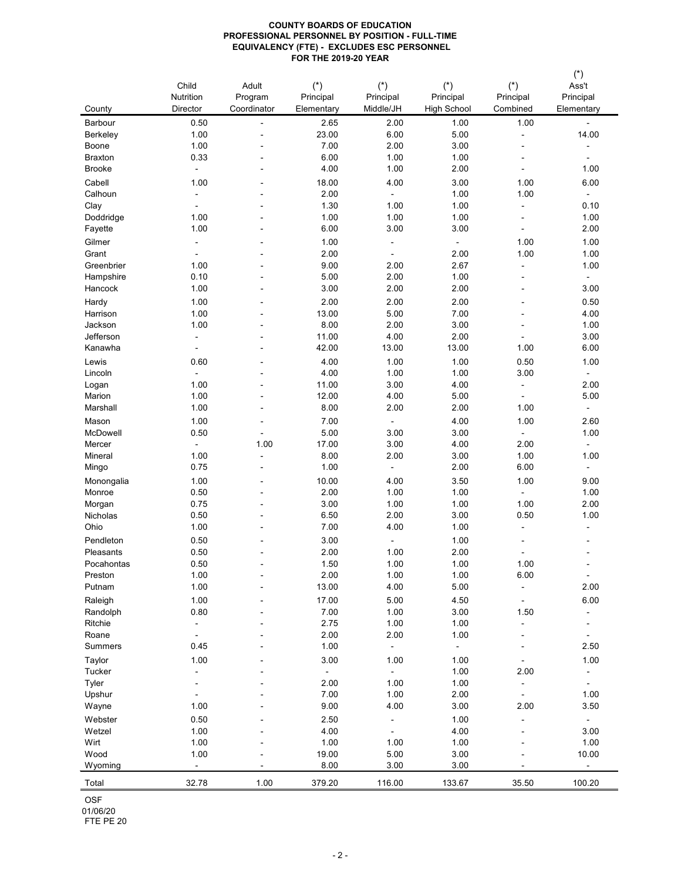|                    | Child                    | Adult                    | $(*)$                   | $(*)$                    | $(*)$                           | $(*)$                    | $(*)$<br>Ass't           |
|--------------------|--------------------------|--------------------------|-------------------------|--------------------------|---------------------------------|--------------------------|--------------------------|
| County             | Nutrition<br>Director    | Program<br>Coordinator   | Principal<br>Elementary | Principal<br>Middle/JH   | Principal<br><b>High School</b> | Principal<br>Combined    | Principal<br>Elementary  |
| Barbour            | 0.50                     | $\overline{\phantom{a}}$ | 2.65                    | 2.00                     | 1.00                            | 1.00                     | $\blacksquare$           |
| <b>Berkeley</b>    | 1.00                     | -                        | 23.00                   | 6.00                     | 5.00                            | $\blacksquare$           | 14.00                    |
| Boone              | 1.00                     |                          | 7.00                    | 2.00                     | 3.00                            | $\blacksquare$           |                          |
| <b>Braxton</b>     | 0.33                     | ۰                        | 6.00                    | 1.00                     | 1.00                            | $\blacksquare$           | $\blacksquare$           |
| <b>Brooke</b>      | $\overline{\phantom{a}}$ |                          | 4.00                    | 1.00                     | 2.00                            |                          | 1.00                     |
| Cabell             | 1.00                     | -                        | 18.00                   | 4.00                     | 3.00                            | 1.00                     | 6.00                     |
| Calhoun            | $\blacksquare$           |                          | 2.00                    | ۰                        | 1.00                            | 1.00                     | $\blacksquare$           |
| Clay               |                          |                          | 1.30                    | 1.00                     | 1.00                            | $\blacksquare$           | 0.10                     |
| Doddridge          | 1.00                     |                          | 1.00                    | 1.00                     | 1.00                            | $\blacksquare$           | 1.00                     |
| Fayette            | 1.00                     |                          | 6.00                    | 3.00                     | 3.00                            |                          | 2.00                     |
| Gilmer             | $\overline{\phantom{a}}$ |                          | 1.00                    | $\blacksquare$           | $\blacksquare$                  | 1.00                     | 1.00                     |
| Grant              |                          |                          | 2.00                    | $\blacksquare$           | 2.00                            | 1.00                     | 1.00                     |
| Greenbrier         | 1.00                     |                          | 9.00                    | 2.00                     | 2.67                            | $\overline{\phantom{a}}$ | 1.00                     |
| Hampshire          | 0.10                     |                          | 5.00                    | 2.00                     | 1.00                            | $\blacksquare$           | $\blacksquare$           |
| Hancock            | 1.00                     | -                        | 3.00                    | 2.00                     | 2.00                            | $\blacksquare$           | 3.00                     |
| Hardy              | 1.00                     | -                        | 2.00                    | 2.00                     | 2.00                            | $\blacksquare$           | 0.50                     |
| Harrison           | 1.00                     |                          | 13.00                   | 5.00                     | 7.00                            | $\blacksquare$           | 4.00                     |
| Jackson            | 1.00                     |                          | 8.00                    | 2.00                     | 3.00                            |                          | 1.00                     |
| Jefferson          | $\blacksquare$           |                          | 11.00                   | 4.00                     | 2.00                            |                          | 3.00                     |
| Kanawha            | $\overline{\phantom{a}}$ |                          | 42.00                   | 13.00                    | 13.00                           | 1.00                     | 6.00                     |
| Lewis              | 0.60                     |                          | 4.00                    | 1.00                     | 1.00                            | 0.50                     | 1.00                     |
| Lincoln            | $\blacksquare$           |                          | 4.00                    | 1.00                     | 1.00                            | 3.00                     | $\blacksquare$           |
| Logan              | 1.00                     |                          | 11.00                   | 3.00                     | 4.00                            | $\blacksquare$           | 2.00                     |
| Marion<br>Marshall | 1.00                     |                          | 12.00                   | 4.00<br>2.00             | 5.00                            |                          | 5.00                     |
|                    | 1.00                     |                          | 8.00                    |                          | 2.00                            | 1.00                     | $\blacksquare$           |
| Mason              | 1.00                     |                          | 7.00                    | $\blacksquare$           | 4.00                            | 1.00                     | 2.60                     |
| McDowell<br>Mercer | 0.50                     | ÷<br>1.00                | 5.00<br>17.00           | 3.00<br>3.00             | 3.00<br>4.00                    | $\blacksquare$<br>2.00   | 1.00                     |
| Mineral            | $\blacksquare$<br>1.00   |                          | 8.00                    | 2.00                     | 3.00                            | 1.00                     | $\blacksquare$<br>1.00   |
| Mingo              | 0.75                     |                          | 1.00                    | $\overline{\phantom{a}}$ | 2.00                            | 6.00                     | $\overline{\phantom{a}}$ |
| Monongalia         | 1.00                     |                          | 10.00                   | 4.00                     | 3.50                            | 1.00                     | 9.00                     |
| Monroe             | 0.50                     |                          | 2.00                    | 1.00                     | 1.00                            |                          | 1.00                     |
| Morgan             | 0.75                     |                          | 3.00                    | 1.00                     | 1.00                            | 1.00                     | 2.00                     |
| Nicholas           | 0.50                     |                          | 6.50                    | 2.00                     | 3.00                            | 0.50                     | 1.00                     |
| Ohio               | 1.00                     |                          | 7.00                    | 4.00                     | 1.00                            | $\blacksquare$           | $\overline{\phantom{a}}$ |
| Pendleton          | 0.50                     | ۰                        | 3.00                    | $\blacksquare$           | 1.00                            | $\blacksquare$           | $\blacksquare$           |
| Pleasants          | 0.50                     |                          | 2.00                    | 1.00                     | 2.00                            |                          |                          |
| Pocahontas         | 0.50                     | -                        | 1.50                    | 1.00                     | 1.00                            | 1.00                     |                          |
| Preston            | 1.00                     |                          | 2.00                    | 1.00                     | 1.00                            | 6.00                     |                          |
| Putnam             | 1.00                     |                          | 13.00                   | 4.00                     | 5.00                            |                          | 2.00                     |
| Raleigh            | 1.00                     |                          | 17.00                   | 5.00                     | 4.50                            | $\blacksquare$           | 6.00                     |
| Randolph           | 0.80                     |                          | 7.00                    | 1.00                     | 3.00                            | 1.50                     |                          |
| Ritchie            |                          |                          | 2.75                    | 1.00                     | 1.00                            |                          |                          |
| Roane              |                          |                          | 2.00                    | 2.00                     | 1.00                            |                          |                          |
| <b>Summers</b>     | 0.45                     |                          | 1.00                    |                          |                                 |                          | 2.50                     |
| Taylor             | 1.00                     |                          | 3.00                    | 1.00                     | 1.00                            |                          | 1.00                     |
| Tucker             | $\blacksquare$           |                          | $\blacksquare$          |                          | 1.00                            | 2.00                     |                          |
| Tyler              |                          |                          | 2.00                    | 1.00                     | 1.00                            |                          |                          |
| Upshur             |                          |                          | 7.00                    | 1.00                     | 2.00                            |                          | 1.00                     |
| Wayne              | 1.00                     |                          | 9.00                    | 4.00                     | 3.00                            | 2.00                     | 3.50                     |
| Webster            | 0.50                     |                          | 2.50                    | $\blacksquare$           | 1.00                            |                          |                          |
| Wetzel             | 1.00                     |                          | 4.00                    |                          | 4.00                            |                          | 3.00                     |
| Wirt               | 1.00                     |                          | 1.00                    | 1.00                     | 1.00                            |                          | 1.00                     |
| Wood               | 1.00                     |                          | 19.00                   | 5.00                     | 3.00                            |                          | 10.00                    |
| Wyoming            |                          |                          | 8.00                    | 3.00                     | 3.00                            |                          |                          |
| Total              | 32.78                    | 1.00                     | 379.20                  | 116.00                   | 133.67                          | 35.50                    | 100.20                   |
| <b>OSF</b>         |                          |                          |                         |                          |                                 |                          |                          |
| 01/06/20           |                          |                          |                         |                          |                                 |                          |                          |
| FTE PE 20          |                          |                          |                         |                          |                                 |                          |                          |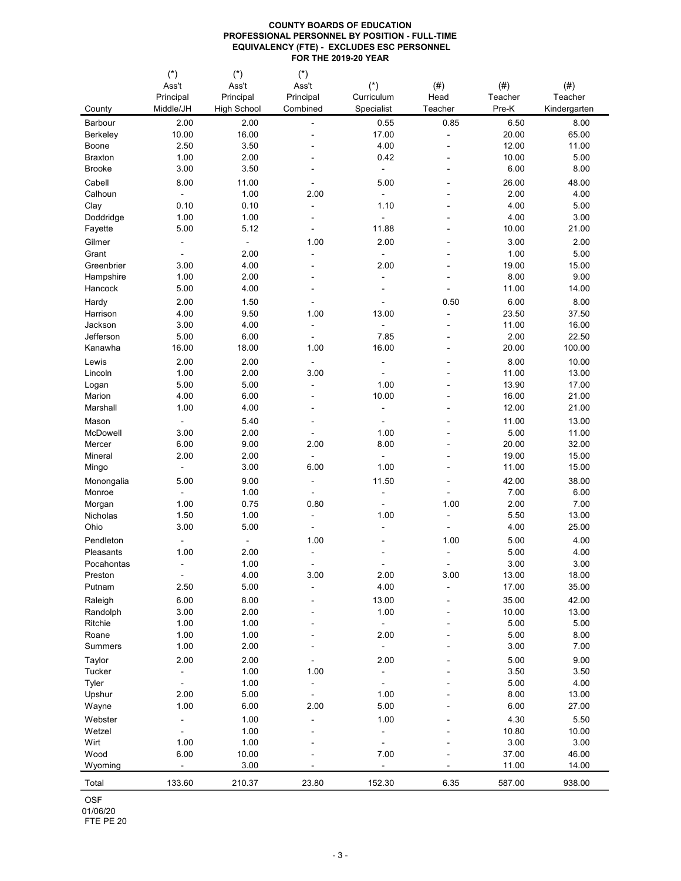FTE PE 20

|                        | $(\dot{\phantom{a}})$    | $(\dot{\phantom{a}})$ | $(\dot{\phantom{a}})$ |                          |                |         |              |
|------------------------|--------------------------|-----------------------|-----------------------|--------------------------|----------------|---------|--------------|
|                        | Ass't                    | Ass't                 | Ass't                 | $(*)$                    | (# )           | $(\#)$  | $(\#)$       |
|                        | Principal                | Principal             | Principal             | Curriculum               | Head           | Teacher | Teacher      |
| County                 | Middle/JH                | <b>High School</b>    | Combined              | Specialist               | Teacher        | Pre-K   | Kindergarten |
| Barbour                | 2.00                     | 2.00                  |                       | 0.55                     | 0.85           | 6.50    | 8.00         |
| <b>Berkeley</b>        | 10.00                    | 16.00                 |                       | 17.00                    |                | 20.00   | 65.00        |
| Boone                  | 2.50                     | 3.50                  |                       | 4.00                     |                | 12.00   | 11.00        |
| <b>Braxton</b>         | 1.00                     | 2.00                  |                       | 0.42                     |                | 10.00   | 5.00         |
| <b>Brooke</b>          | 3.00                     | 3.50                  |                       | $\blacksquare$           |                | 6.00    | 8.00         |
|                        |                          |                       |                       |                          |                |         |              |
| Cabell                 | 8.00                     | 11.00                 |                       | 5.00                     |                | 26.00   | 48.00        |
| Calhoun                | $\blacksquare$           | 1.00                  | 2.00                  |                          |                | 2.00    | 4.00         |
| Clay                   | 0.10                     | 0.10                  |                       | 1.10                     |                | 4.00    | 5.00         |
| Doddridge              | 1.00                     | 1.00                  |                       |                          |                | 4.00    | 3.00         |
| Fayette                | 5.00                     | 5.12                  |                       | 11.88                    |                | 10.00   | 21.00        |
| Gilmer                 | $\overline{\phantom{a}}$ |                       | 1.00                  | 2.00                     |                | 3.00    | 2.00         |
| Grant                  |                          | 2.00                  |                       |                          |                | 1.00    | 5.00         |
| Greenbrier             | 3.00                     | 4.00                  |                       | 2.00                     |                | 19.00   | 15.00        |
| Hampshire              | 1.00                     | 2.00                  |                       |                          |                | 8.00    | 9.00         |
| Hancock                | 5.00                     | 4.00                  |                       |                          |                | 11.00   | 14.00        |
|                        | 2.00                     | 1.50                  |                       |                          | 0.50           | 6.00    | 8.00         |
| Hardy                  |                          |                       |                       |                          |                |         |              |
| Harrison               | 4.00                     | 9.50                  | 1.00                  | 13.00                    |                | 23.50   | 37.50        |
| Jackson                | 3.00                     | 4.00                  | $\blacksquare$        |                          |                | 11.00   | 16.00        |
| Jefferson              | 5.00                     | 6.00                  |                       | 7.85                     |                | 2.00    | 22.50        |
| Kanawha                | 16.00                    | 18.00                 | 1.00                  | 16.00                    |                | 20.00   | 100.00       |
| Lewis                  | 2.00                     | 2.00                  | $\blacksquare$        | $\overline{\phantom{0}}$ |                | 8.00    | 10.00        |
| Lincoln                | 1.00                     | 2.00                  | 3.00                  |                          |                | 11.00   | 13.00        |
| Logan                  | 5.00                     | 5.00                  |                       | 1.00                     |                | 13.90   | 17.00        |
| Marion                 | 4.00                     | 6.00                  |                       | 10.00                    |                | 16.00   | 21.00        |
| Marshall               | 1.00                     | 4.00                  |                       |                          |                | 12.00   | 21.00        |
| Mason                  |                          | 5.40                  |                       |                          |                | 11.00   | 13.00        |
| McDowell               | 3.00                     | 2.00                  |                       | 1.00                     |                | 5.00    | 11.00        |
|                        |                          |                       | $\blacksquare$        |                          |                |         |              |
| Mercer                 | 6.00                     | 9.00                  | 2.00                  | 8.00                     |                | 20.00   | 32.00        |
| Mineral                | 2.00                     | 2.00                  |                       |                          |                | 19.00   | 15.00        |
| Mingo                  | $\overline{\phantom{a}}$ | 3.00                  | 6.00                  | 1.00                     |                | 11.00   | 15.00        |
| Monongalia             | 5.00                     | 9.00                  |                       | 11.50                    | $\blacksquare$ | 42.00   | 38.00        |
| Monroe                 |                          | 1.00                  |                       |                          |                | 7.00    | 6.00         |
| Morgan                 | 1.00                     | 0.75                  | 0.80                  |                          | 1.00           | 2.00    | 7.00         |
| <b>Nicholas</b>        | 1.50                     | 1.00                  |                       | 1.00                     |                | 5.50    | 13.00        |
| Ohio                   | 3.00                     | 5.00                  |                       | $\overline{\phantom{0}}$ |                | 4.00    | 25.00        |
| Pendleton              | $\blacksquare$           |                       | 1.00                  |                          | 1.00           | 5.00    | 4.00         |
| Pleasants              | 1.00                     | 2.00                  |                       |                          |                | 5.00    | 4.00         |
| Pocahontas             | $\blacksquare$           | 1.00                  | ۰                     |                          |                | 3.00    | 3.00         |
| Preston                |                          | 4.00                  | 3.00                  | 2.00                     | 3.00           | 13.00   | 18.00        |
| Putnam                 | 2.50                     | 5.00                  |                       | 4.00                     |                | 17.00   | 35.00        |
|                        |                          |                       |                       |                          | $\blacksquare$ |         |              |
| Raleigh                | 6.00                     | 8.00                  | $\blacksquare$        | 13.00                    | $\blacksquare$ | 35.00   | 42.00        |
| Randolph               | 3.00                     | 2.00                  |                       | 1.00                     |                | 10.00   | 13.00        |
| Ritchie                | 1.00                     | 1.00                  |                       |                          |                | 5.00    | 5.00         |
| Roane                  | 1.00                     | 1.00                  |                       | 2.00                     |                | 5.00    | 8.00         |
| <b>Summers</b>         | 1.00                     | 2.00                  |                       |                          |                | 3.00    | 7.00         |
| Taylor                 | 2.00                     | 2.00                  |                       | 2.00                     |                | 5.00    | 9.00         |
| Tucker                 |                          | 1.00                  | 1.00                  | Ξ.                       |                | 3.50    | 3.50         |
| Tyler                  | $\blacksquare$           | 1.00                  | Ξ.                    |                          |                | 5.00    | 4.00         |
| Upshur                 | 2.00                     | 5.00                  | Ξ.                    | 1.00                     |                | 8.00    | 13.00        |
| Wayne                  | 1.00                     | 6.00                  | 2.00                  | 5.00                     |                | 6.00    | 27.00        |
|                        |                          |                       |                       |                          |                |         |              |
| Webster                | $\blacksquare$           | 1.00                  | $\blacksquare$        | 1.00                     |                | 4.30    | 5.50         |
| Wetzel                 |                          | 1.00                  |                       |                          |                | 10.80   | 10.00        |
| Wirt                   | 1.00                     | 1.00                  |                       |                          |                | 3.00    | 3.00         |
| Wood                   | 6.00                     | 10.00                 |                       | 7.00                     |                | 37.00   | 46.00        |
| Wyoming                | $\overline{\phantom{a}}$ | 3.00                  |                       |                          |                | 11.00   | 14.00        |
| Total                  | 133.60                   | 210.37                | 23.80                 | 152.30                   | 6.35           | 587.00  | 938.00       |
| <b>OSF</b><br>01/06/20 |                          |                       |                       |                          |                |         |              |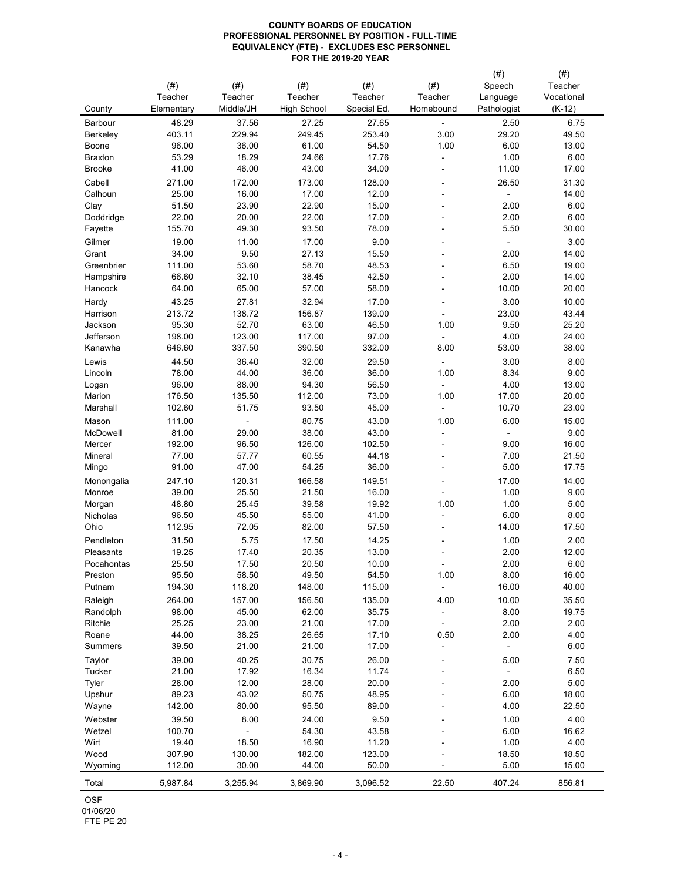01/06/20 FTE PE 20

|                 |            |           |                    |             |                | (# )        | $(\#)$     |
|-----------------|------------|-----------|--------------------|-------------|----------------|-------------|------------|
|                 | (# )       | (# )      | $(\#)$             | $(\#)$      | (# )           | Speech      | Teacher    |
|                 | Teacher    | Teacher   | Teacher            | Teacher     | Teacher        | Language    | Vocational |
| County          | Elementary | Middle/JH | <b>High School</b> | Special Ed. | Homebound      | Pathologist | $(K-12)$   |
|                 |            |           |                    |             |                |             |            |
| Barbour         | 48.29      | 37.56     | 27.25              | 27.65       |                | 2.50        | 6.75       |
| <b>Berkeley</b> | 403.11     | 229.94    | 249.45             | 253.40      | 3.00           | 29.20       | 49.50      |
| Boone           | 96.00      | 36.00     | 61.00              | 54.50       | 1.00           | 6.00        | 13.00      |
| <b>Braxton</b>  | 53.29      | 18.29     | 24.66              | 17.76       | $\blacksquare$ | 1.00        | 6.00       |
| <b>Brooke</b>   | 41.00      | 46.00     | 43.00              | 34.00       |                | 11.00       | 17.00      |
| Cabell          | 271.00     | 172.00    | 173.00             | 128.00      |                | 26.50       | 31.30      |
| Calhoun         | 25.00      | 16.00     | 17.00              | 12.00       | $\blacksquare$ |             | 14.00      |
| Clay            | 51.50      | 23.90     | 22.90              | 15.00       |                | 2.00        | 6.00       |
| Doddridge       | 22.00      | 20.00     | 22.00              | 17.00       |                | 2.00        | 6.00       |
| Fayette         | 155.70     | 49.30     | 93.50              | 78.00       |                | 5.50        | 30.00      |
| Gilmer          | 19.00      | 11.00     | 17.00              | 9.00        |                |             | 3.00       |
| Grant           | 34.00      | 9.50      | 27.13              | 15.50       |                | 2.00        | 14.00      |
| Greenbrier      | 111.00     | 53.60     | 58.70              | 48.53       |                | 6.50        | 19.00      |
|                 | 66.60      | 32.10     | 38.45              | 42.50       |                | 2.00        | 14.00      |
| Hampshire       |            |           |                    |             |                |             |            |
| Hancock         | 64.00      | 65.00     | 57.00              | 58.00       |                | 10.00       | 20.00      |
| Hardy           | 43.25      | 27.81     | 32.94              | 17.00       | $\blacksquare$ | 3.00        | 10.00      |
| Harrison        | 213.72     | 138.72    | 156.87             | 139.00      |                | 23.00       | 43.44      |
| Jackson         | 95.30      | 52.70     | 63.00              | 46.50       | 1.00           | 9.50        | 25.20      |
| Jefferson       | 198.00     | 123.00    | 117.00             | 97.00       |                | 4.00        | 24.00      |
| Kanawha         | 646.60     | 337.50    | 390.50             | 332.00      | 8.00           | 53.00       | 38.00      |
| Lewis           | 44.50      | 36.40     | 32.00              | 29.50       | $\blacksquare$ | 3.00        | 8.00       |
| Lincoln         | 78.00      | 44.00     | 36.00              | 36.00       | 1.00           | 8.34        | 9.00       |
| Logan           | 96.00      | 88.00     | 94.30              | 56.50       |                | 4.00        | 13.00      |
| Marion          | 176.50     | 135.50    | 112.00             | 73.00       | 1.00           | 17.00       | 20.00      |
| Marshall        | 102.60     | 51.75     | 93.50              | 45.00       |                | 10.70       | 23.00      |
| Mason           | 111.00     |           | 80.75              | 43.00       | 1.00           | 6.00        | 15.00      |
| McDowell        | 81.00      | 29.00     | 38.00              | 43.00       |                |             | 9.00       |
|                 |            |           |                    |             | $\blacksquare$ |             |            |
| Mercer          | 192.00     | 96.50     | 126.00             | 102.50      |                | 9.00        | 16.00      |
| Mineral         | 77.00      | 57.77     | 60.55              | 44.18       |                | 7.00        | 21.50      |
| Mingo           | 91.00      | 47.00     | 54.25              | 36.00       |                | 5.00        | 17.75      |
| Monongalia      | 247.10     | 120.31    | 166.58             | 149.51      |                | 17.00       | 14.00      |
| Monroe          | 39.00      | 25.50     | 21.50              | 16.00       |                | 1.00        | 9.00       |
| Morgan          | 48.80      | 25.45     | 39.58              | 19.92       | 1.00           | 1.00        | 5.00       |
| Nicholas        | 96.50      | 45.50     | 55.00              | 41.00       |                | 6.00        | 8.00       |
| Ohio            | 112.95     | 72.05     | 82.00              | 57.50       |                | 14.00       | 17.50      |
| Pendleton       | 31.50      | 5.75      | 17.50              | 14.25       |                | 1.00        | 2.00       |
| Pleasants       | 19.25      | 17.40     | 20.35              | 13.00       |                | 2.00        | 12.00      |
| Pocahontas      | 25.50      | 17.50     | 20.50              | 10.00       |                | 2.00        | 6.00       |
| Preston         | 95.50      | 58.50     | 49.50              | 54.50       | 1.00           | 8.00        | 16.00      |
| Putnam          | 194.30     | 118.20    | 148.00             | 115.00      |                | 16.00       | 40.00      |
| Raleigh         | 264.00     | 157.00    | 156.50             | 135.00      | 4.00           | 10.00       | 35.50      |
| Randolph        | 98.00      | 45.00     | 62.00              | 35.75       |                | 8.00        | 19.75      |
| Ritchie         | 25.25      | 23.00     | 21.00              | 17.00       |                | 2.00        | 2.00       |
|                 | 44.00      | 38.25     | 26.65              | 17.10       | 0.50           | 2.00        | 4.00       |
| Roane           |            |           |                    |             |                |             |            |
| <b>Summers</b>  | 39.50      | 21.00     | 21.00              | 17.00       |                |             | 6.00       |
| Taylor          | 39.00      | 40.25     | 30.75              | 26.00       |                | 5.00        | 7.50       |
| Tucker          | 21.00      | 17.92     | 16.34              | 11.74       |                |             | 6.50       |
| Tyler           | 28.00      | 12.00     | 28.00              | 20.00       |                | 2.00        | 5.00       |
| Upshur          | 89.23      | 43.02     | 50.75              | 48.95       |                | 6.00        | 18.00      |
| Wayne           | 142.00     | 80.00     | 95.50              | 89.00       |                | 4.00        | 22.50      |
| Webster         | 39.50      | 8.00      | 24.00              | 9.50        |                | 1.00        | 4.00       |
| Wetzel          | 100.70     |           | 54.30              | 43.58       |                | 6.00        | 16.62      |
| Wirt            | 19.40      | 18.50     | 16.90              | 11.20       |                | 1.00        | 4.00       |
| Wood            | 307.90     | 130.00    | 182.00             | 123.00      |                | 18.50       | 18.50      |
| Wyoming         | 112.00     | 30.00     | 44.00              | 50.00       |                | 5.00        | 15.00      |
|                 |            |           |                    |             |                |             |            |
| Total           | 5,987.84   | 3,255.94  | 3,869.90           | 3,096.52    | 22.50          | 407.24      | 856.81     |
| <b>OSF</b>      |            |           |                    |             |                |             |            |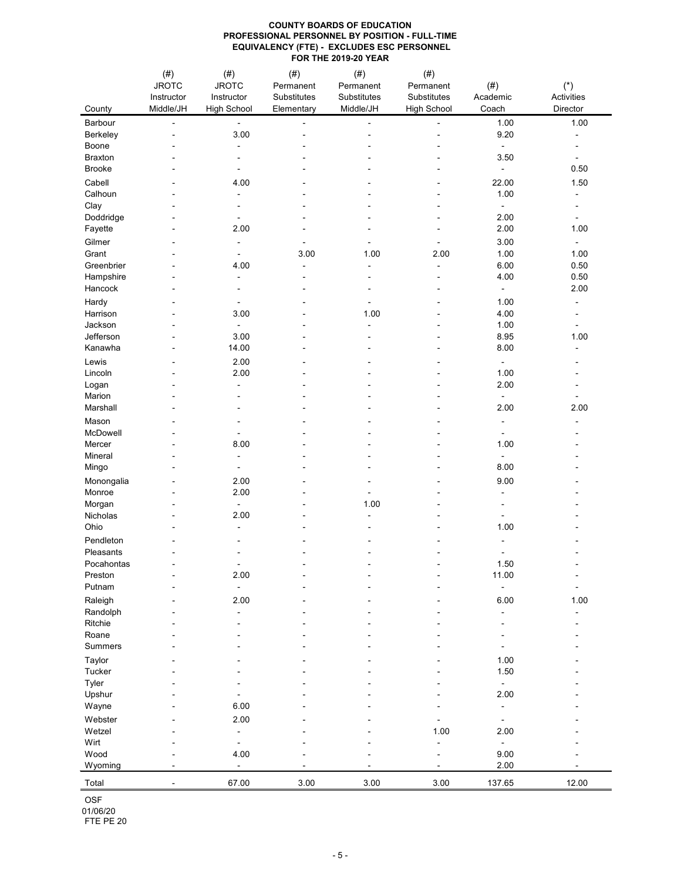| County              | (# )<br><b>JROTC</b><br>Instructor<br>Middle/JH | (# )<br><b>JROTC</b><br>Instructor<br><b>High School</b> | $(\#)$<br>Permanent<br>Substitutes<br>Elementary | $(\#)$<br>Permanent<br>Substitutes<br>Middle/JH | $(\#)$<br>Permanent<br>Substitutes<br><b>High School</b> | $(\#)$<br>Academic<br>Coach      | $(\dot{a})$<br>Activities<br><b>Director</b> |
|---------------------|-------------------------------------------------|----------------------------------------------------------|--------------------------------------------------|-------------------------------------------------|----------------------------------------------------------|----------------------------------|----------------------------------------------|
| Barbour             | $\blacksquare$                                  | $\blacksquare$                                           |                                                  |                                                 |                                                          | 1.00                             | 1.00                                         |
| Berkeley            |                                                 | 3.00                                                     |                                                  |                                                 |                                                          | 9.20                             |                                              |
| Boone               |                                                 | $\blacksquare$                                           |                                                  |                                                 |                                                          | $\blacksquare$                   |                                              |
| <b>Braxton</b>      |                                                 |                                                          |                                                  |                                                 |                                                          | 3.50                             |                                              |
| <b>Brooke</b>       |                                                 |                                                          |                                                  |                                                 |                                                          | $\blacksquare$                   | 0.50                                         |
| Cabell              |                                                 | 4.00                                                     |                                                  |                                                 |                                                          | 22.00                            | 1.50                                         |
| Calhoun             |                                                 | $\blacksquare$                                           |                                                  |                                                 |                                                          | 1.00                             |                                              |
| Clay                |                                                 |                                                          |                                                  |                                                 |                                                          |                                  |                                              |
| Doddridge           |                                                 |                                                          |                                                  |                                                 |                                                          | 2.00                             |                                              |
| Fayette             |                                                 | 2.00                                                     |                                                  |                                                 |                                                          | 2.00                             | 1.00                                         |
| Gilmer              |                                                 |                                                          |                                                  |                                                 |                                                          | 3.00                             | $\sim$                                       |
| Grant               |                                                 |                                                          | 3.00                                             | 1.00                                            | 2.00                                                     | 1.00                             | 1.00                                         |
| Greenbrier          |                                                 | 4.00                                                     |                                                  |                                                 | $\blacksquare$                                           | 6.00                             | 0.50                                         |
| Hampshire           |                                                 | $\blacksquare$                                           | ۰                                                |                                                 |                                                          | 4.00                             | 0.50                                         |
| Hancock             |                                                 |                                                          |                                                  |                                                 |                                                          | $\blacksquare$                   | 2.00                                         |
| Hardy               |                                                 |                                                          |                                                  |                                                 |                                                          | 1.00                             |                                              |
| Harrison<br>Jackson |                                                 | 3.00                                                     |                                                  | 1.00                                            |                                                          | 4.00<br>1.00                     |                                              |
| Jefferson           |                                                 | 3.00                                                     |                                                  | $\blacksquare$                                  |                                                          | 8.95                             | 1.00                                         |
| Kanawha             |                                                 | 14.00                                                    |                                                  |                                                 |                                                          | 8.00                             |                                              |
| Lewis               |                                                 | 2.00                                                     |                                                  |                                                 |                                                          |                                  |                                              |
| Lincoln             |                                                 | 2.00                                                     |                                                  |                                                 |                                                          | $\blacksquare$<br>1.00           |                                              |
| Logan               |                                                 |                                                          |                                                  |                                                 |                                                          | 2.00                             |                                              |
| Marion              |                                                 |                                                          |                                                  |                                                 |                                                          | $\blacksquare$                   |                                              |
| Marshall            |                                                 |                                                          |                                                  |                                                 |                                                          | 2.00                             | 2.00                                         |
| Mason               |                                                 |                                                          |                                                  |                                                 |                                                          |                                  |                                              |
| McDowell            |                                                 |                                                          |                                                  |                                                 |                                                          |                                  |                                              |
| Mercer              |                                                 | 8.00                                                     |                                                  |                                                 |                                                          | 1.00                             |                                              |
| Mineral             |                                                 |                                                          |                                                  |                                                 |                                                          |                                  |                                              |
| Mingo               |                                                 |                                                          |                                                  |                                                 |                                                          | 8.00                             |                                              |
| Monongalia          |                                                 | 2.00                                                     |                                                  |                                                 |                                                          | 9.00                             |                                              |
| Monroe              |                                                 | 2.00                                                     |                                                  |                                                 |                                                          |                                  |                                              |
| Morgan              |                                                 | $\blacksquare$                                           |                                                  | 1.00                                            |                                                          |                                  |                                              |
| Nicholas            |                                                 | 2.00                                                     |                                                  |                                                 |                                                          |                                  |                                              |
| Ohio                |                                                 |                                                          |                                                  |                                                 |                                                          | 1.00                             |                                              |
| Pendleton           |                                                 |                                                          |                                                  |                                                 |                                                          |                                  |                                              |
| Pleasants           |                                                 |                                                          |                                                  |                                                 |                                                          |                                  |                                              |
| Pocahontas          |                                                 |                                                          |                                                  |                                                 |                                                          | 1.50                             |                                              |
| Preston             |                                                 | 2.00                                                     |                                                  |                                                 |                                                          | 11.00                            |                                              |
| Putnam              |                                                 |                                                          |                                                  |                                                 |                                                          |                                  |                                              |
| Raleigh             |                                                 | 2.00                                                     |                                                  |                                                 |                                                          | 6.00                             | 1.00                                         |
| Randolph            |                                                 |                                                          |                                                  |                                                 |                                                          |                                  |                                              |
| Ritchie             |                                                 |                                                          |                                                  |                                                 |                                                          |                                  |                                              |
| Roane               |                                                 |                                                          |                                                  |                                                 |                                                          |                                  |                                              |
| <b>Summers</b>      |                                                 |                                                          |                                                  |                                                 |                                                          |                                  |                                              |
| Taylor              |                                                 |                                                          |                                                  |                                                 |                                                          | 1.00                             |                                              |
| Tucker              |                                                 |                                                          |                                                  |                                                 |                                                          | 1.50                             |                                              |
| Tyler<br>Upshur     |                                                 |                                                          |                                                  |                                                 |                                                          | $\overline{\phantom{a}}$<br>2.00 |                                              |
| Wayne               |                                                 | 6.00                                                     |                                                  |                                                 |                                                          |                                  |                                              |
|                     |                                                 |                                                          |                                                  |                                                 |                                                          |                                  |                                              |
| Webster<br>Wetzel   |                                                 | 2.00<br>$\blacksquare$                                   |                                                  |                                                 | 1.00                                                     | 2.00                             |                                              |
| Wirt                |                                                 |                                                          |                                                  |                                                 |                                                          |                                  |                                              |
| Wood                |                                                 | 4.00                                                     |                                                  |                                                 |                                                          | 9.00                             |                                              |
| Wyoming             |                                                 | $\blacksquare$                                           |                                                  |                                                 |                                                          | 2.00                             |                                              |
| Total               |                                                 | 67.00                                                    | 3.00                                             | 3.00                                            | 3.00                                                     | 137.65                           | 12.00                                        |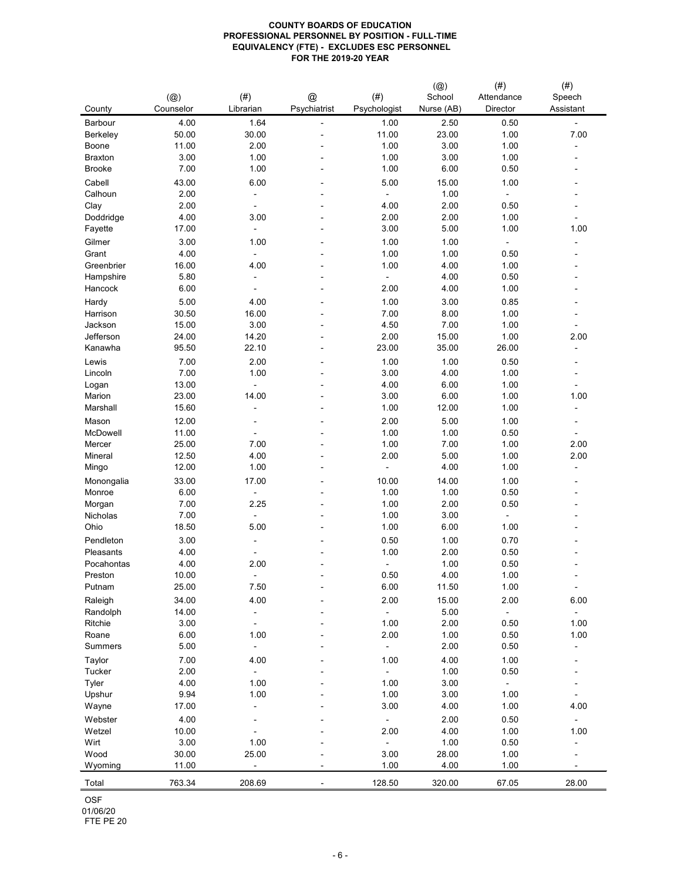| County                | $(\circleda)$<br>Counselor | $(\#)$<br>Librarian | @<br>Psychiatrist        | $(\#)$<br>Psychologist | $(\circleda)$<br>School<br>Nurse (AB) | (# )<br>Attendance<br>Director | $(\#)$<br>Speech<br>Assistant |
|-----------------------|----------------------------|---------------------|--------------------------|------------------------|---------------------------------------|--------------------------------|-------------------------------|
| Barbour               | 4.00                       | 1.64                | $\blacksquare$           | 1.00                   | 2.50                                  | 0.50                           | $\blacksquare$                |
| Berkeley              | 50.00                      | 30.00               |                          | 11.00                  | 23.00                                 | 1.00                           | 7.00                          |
| Boone                 | 11.00                      | 2.00                |                          | 1.00                   | 3.00                                  | 1.00                           |                               |
| <b>Braxton</b>        | 3.00                       | 1.00                | $\blacksquare$           | 1.00                   | 3.00                                  | 1.00                           | ۰                             |
| <b>Brooke</b>         | 7.00                       | 1.00                |                          | 1.00                   | 6.00                                  | 0.50                           |                               |
| Cabell                | 43.00                      | 6.00                |                          | 5.00                   | 15.00                                 | 1.00                           |                               |
| Calhoun               | 2.00                       |                     | $\blacksquare$           |                        | 1.00                                  | $\blacksquare$                 |                               |
| Clay                  | 2.00                       |                     |                          | 4.00                   | 2.00                                  | 0.50                           |                               |
| Doddridge             | 4.00                       | 3.00                |                          | 2.00                   | 2.00                                  | 1.00                           |                               |
| Fayette               | 17.00                      | $\blacksquare$      |                          | 3.00                   | 5.00                                  | 1.00                           | 1.00                          |
| Gilmer                | 3.00                       | 1.00                |                          | 1.00                   | 1.00                                  | $\blacksquare$                 | -                             |
| Grant                 | 4.00                       |                     |                          | 1.00                   | 1.00                                  | 0.50                           |                               |
| Greenbrier            | 16.00                      | 4.00                |                          | 1.00                   | 4.00                                  | 1.00                           |                               |
| Hampshire             | 5.80                       | $\blacksquare$      |                          | ۰.                     | 4.00                                  | 0.50                           |                               |
| Hancock               | 6.00                       | $\blacksquare$      | $\blacksquare$           | 2.00                   | 4.00                                  | 1.00                           | -                             |
| Hardy                 | 5.00                       | 4.00                | $\blacksquare$           | 1.00                   | 3.00                                  | 0.85                           |                               |
| Harrison              | 30.50                      | 16.00               |                          | 7.00                   | 8.00                                  | 1.00                           |                               |
| Jackson               | 15.00                      | 3.00                | $\blacksquare$           | 4.50                   | 7.00                                  | 1.00                           |                               |
| Jefferson             | 24.00                      | 14.20               |                          | 2.00                   | 15.00                                 | 1.00                           | 2.00                          |
| Kanawha               | 95.50                      | 22.10               |                          | 23.00                  | 35.00                                 | 26.00                          | -                             |
| Lewis                 | 7.00                       | 2.00                | $\blacksquare$           | 1.00                   | 1.00                                  | 0.50                           | -                             |
| Lincoln               | 7.00                       | 1.00                |                          | 3.00                   | 4.00                                  | 1.00                           |                               |
| Logan                 | 13.00                      |                     |                          | 4.00                   | 6.00                                  | 1.00                           |                               |
| Marion                | 23.00                      | 14.00               |                          | 3.00                   | 6.00                                  | 1.00                           | 1.00                          |
| Marshall              | 15.60                      |                     |                          | 1.00                   | 12.00                                 | 1.00                           |                               |
| Mason                 | 12.00                      |                     |                          | 2.00                   | 5.00                                  | 1.00                           | -                             |
| McDowell              | 11.00                      | $\blacksquare$      |                          | 1.00                   | 1.00                                  | 0.50                           | $\blacksquare$                |
| Mercer                | 25.00                      | 7.00                |                          | 1.00                   | 7.00                                  | 1.00                           | 2.00                          |
| Mineral               | 12.50                      | 4.00                |                          | 2.00                   | 5.00                                  | 1.00                           | 2.00                          |
| Mingo                 | 12.00                      | 1.00                |                          |                        | 4.00                                  | 1.00                           | $\overline{\phantom{a}}$      |
|                       |                            |                     |                          | 10.00                  |                                       |                                |                               |
| Monongalia            | 33.00<br>6.00              | 17.00               | $\blacksquare$           | 1.00                   | 14.00<br>1.00                         | 1.00<br>0.50                   | -                             |
| Monroe<br>Morgan      | 7.00                       | 2.25                |                          | 1.00                   | 2.00                                  | 0.50                           |                               |
| Nicholas              | 7.00                       |                     |                          | 1.00                   | 3.00                                  |                                |                               |
| Ohio                  | 18.50                      | 5.00                |                          | 1.00                   | 6.00                                  | 1.00                           |                               |
|                       |                            |                     |                          |                        |                                       |                                |                               |
| Pendleton             | 3.00                       |                     |                          | 0.50                   | 1.00                                  | 0.70                           |                               |
| Pleasants             | 4.00                       | $\blacksquare$      |                          | 1.00                   | 2.00                                  | 0.50                           |                               |
| Pocahontas            | 4.00                       | 2.00                |                          |                        | 1.00                                  | 0.50                           |                               |
| Preston<br>Putnam     | 10.00                      | $\blacksquare$      |                          | 0.50<br>6.00           | 4.00                                  | 1.00<br>1.00                   |                               |
|                       | 25.00                      | 7.50                | $\blacksquare$           |                        | 11.50                                 |                                |                               |
| Raleigh               | 34.00                      | 4.00                | $\overline{\phantom{a}}$ | 2.00                   | 15.00                                 | 2.00                           | 6.00                          |
| Randolph              | 14.00                      |                     |                          |                        | 5.00                                  |                                |                               |
| Ritchie               | 3.00                       |                     |                          | 1.00                   | 2.00                                  | 0.50                           | 1.00                          |
| Roane                 | 6.00                       | 1.00                |                          | 2.00                   | 1.00                                  | 0.50                           | 1.00                          |
| <b>Summers</b>        | 5.00                       |                     |                          |                        | 2.00                                  | 0.50                           | -                             |
| Taylor                | 7.00                       | 4.00                |                          | 1.00                   | 4.00                                  | 1.00                           |                               |
| Tucker                | 2.00                       |                     |                          |                        | 1.00                                  | 0.50                           |                               |
| Tyler                 | 4.00                       | 1.00                |                          | 1.00                   | 3.00                                  | $\sim$                         |                               |
| Upshur                | 9.94                       | 1.00                | $\overline{\phantom{a}}$ | 1.00                   | 3.00                                  | 1.00                           |                               |
| Wayne                 | 17.00                      |                     |                          | 3.00                   | 4.00                                  | 1.00                           | 4.00                          |
| Webster               | 4.00                       |                     |                          |                        | 2.00                                  | 0.50                           |                               |
| Wetzel                | 10.00                      |                     |                          | 2.00                   | 4.00                                  | 1.00                           | 1.00                          |
| Wirt                  | 3.00                       | 1.00                |                          |                        | 1.00                                  | 0.50                           |                               |
| Wood                  | 30.00                      | 25.00               |                          | 3.00                   | 28.00                                 | 1.00                           |                               |
| Wyoming               | 11.00                      |                     |                          | 1.00                   | 4.00                                  | 1.00                           |                               |
| Total                 | 763.34                     | 208.69              | -                        | 128.50                 | 320.00                                | 67.05                          | 28.00                         |
| <b>OSF</b>            |                            |                     |                          |                        |                                       |                                |                               |
| 01/06/20<br>FTE PE 20 |                            |                     |                          |                        |                                       |                                |                               |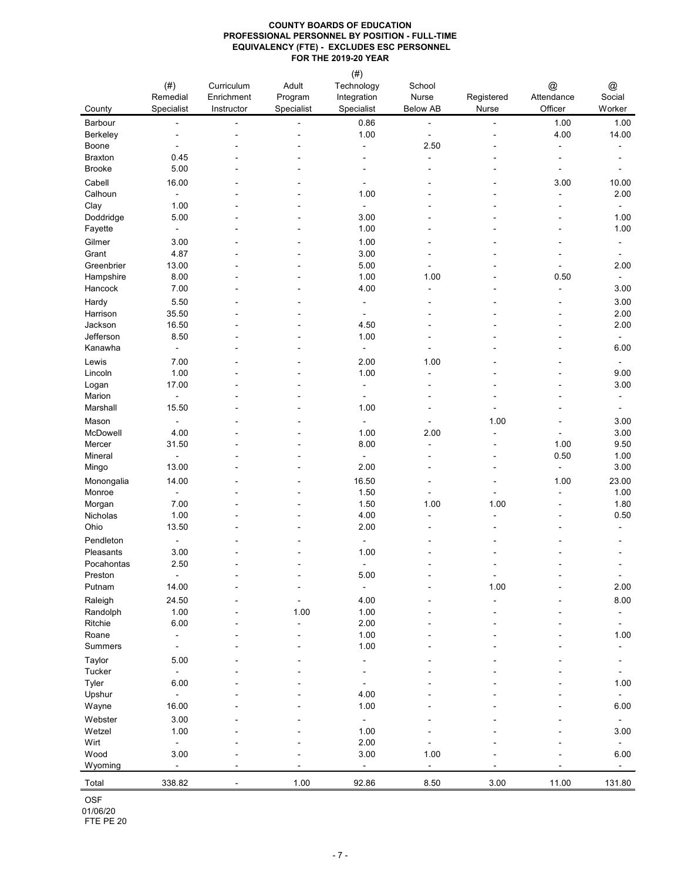|                         | $(\#)$                           | Curriculum | Adult                    | $(\#)$<br>Technology             | School                           |                | @                                |                |
|-------------------------|----------------------------------|------------|--------------------------|----------------------------------|----------------------------------|----------------|----------------------------------|----------------|
|                         | Remedial                         | Enrichment | Program                  | Integration                      | <b>Nurse</b>                     | Registered     | Attendance                       | @<br>Social    |
| County                  | Specialist                       | Instructor | Specialist               | Specialist                       | <b>Below AB</b>                  | <b>Nurse</b>   | Officer                          | Worker         |
| Barbour                 |                                  |            | $\blacksquare$           | 0.86<br>1.00                     | $\overline{\phantom{m}}$         |                | 1.00<br>4.00                     | 1.00<br>14.00  |
| Berkeley<br>Boone       |                                  |            |                          | $\blacksquare$                   | $\overline{\phantom{a}}$<br>2.50 |                |                                  |                |
| <b>Braxton</b>          | 0.45                             |            |                          |                                  |                                  |                |                                  |                |
| <b>Brooke</b>           | 5.00                             |            |                          |                                  |                                  |                |                                  |                |
| Cabell                  | 16.00                            |            |                          |                                  |                                  |                | 3.00                             | 10.00          |
| Calhoun                 | $\overline{\phantom{a}}$         |            |                          | 1.00                             |                                  |                |                                  | 2.00           |
| Clay                    | 1.00                             |            |                          | $\blacksquare$                   |                                  |                |                                  | $\blacksquare$ |
| Doddridge               | 5.00                             |            | $\blacksquare$           | 3.00                             |                                  |                | $\overline{\phantom{a}}$         | 1.00           |
| Fayette                 | $\overline{\phantom{a}}$         |            |                          | 1.00                             |                                  |                |                                  | 1.00           |
| Gilmer                  | 3.00                             |            |                          | 1.00                             |                                  |                |                                  |                |
| Grant                   | 4.87                             |            |                          | 3.00                             |                                  |                |                                  |                |
| Greenbrier<br>Hampshire | 13.00<br>8.00                    |            |                          | 5.00<br>1.00                     | 1.00                             |                | 0.50                             | 2.00           |
| Hancock                 | 7.00                             |            |                          | 4.00                             |                                  |                | ۰                                | 3.00           |
| Hardy                   | 5.50                             |            | $\overline{\phantom{a}}$ | $\sim$                           |                                  |                |                                  | 3.00           |
| Harrison                | 35.50                            |            |                          |                                  |                                  |                |                                  | 2.00           |
| Jackson                 | 16.50                            |            |                          | 4.50                             |                                  |                |                                  | 2.00           |
| Jefferson               | 8.50                             |            |                          | 1.00                             |                                  |                |                                  | $\blacksquare$ |
| Kanawha                 | $\blacksquare$                   |            | $\blacksquare$           | $\blacksquare$                   | $\blacksquare$                   |                |                                  | 6.00           |
| Lewis                   | 7.00                             |            |                          | 2.00                             | 1.00                             |                |                                  |                |
| Lincoln                 | 1.00                             |            |                          | 1.00                             |                                  |                |                                  | 9.00           |
| Logan                   | 17.00                            |            |                          | $\overline{\phantom{a}}$         |                                  |                |                                  | 3.00           |
| Marion<br>Marshall      | $\blacksquare$<br>15.50          |            |                          | $\overline{\phantom{a}}$<br>1.00 |                                  |                |                                  |                |
|                         |                                  |            |                          |                                  |                                  |                |                                  |                |
| Mason<br>McDowell       | $\blacksquare$<br>4.00           |            |                          | $\blacksquare$<br>1.00           | $\blacksquare$<br>2.00           | 1.00           | $\blacksquare$<br>$\blacksquare$ | 3.00<br>3.00   |
| Mercer                  | 31.50                            |            |                          | 8.00                             |                                  |                | 1.00                             | 9.50           |
| Mineral                 |                                  |            |                          | $\blacksquare$                   |                                  | $\blacksquare$ | 0.50                             | 1.00           |
| Mingo                   | 13.00                            |            |                          | 2.00                             |                                  | $\blacksquare$ | $\blacksquare$                   | 3.00           |
| Monongalia              | 14.00                            |            |                          | 16.50                            |                                  |                | 1.00                             | 23.00          |
| Monroe                  |                                  |            |                          | 1.50                             |                                  |                |                                  | 1.00           |
| Morgan                  | 7.00                             |            |                          | 1.50                             | 1.00                             | 1.00           |                                  | 1.80           |
| Nicholas                | 1.00                             |            |                          | 4.00                             |                                  |                |                                  | 0.50           |
| Ohio                    | 13.50                            |            |                          | 2.00                             |                                  |                |                                  |                |
| Pendleton<br>Pleasants  | $\overline{\phantom{a}}$<br>3.00 |            |                          | $\blacksquare$<br>1.00           |                                  |                |                                  |                |
| Pocahontas              | 2.50                             |            |                          | $\sim$                           |                                  |                |                                  |                |
| Preston                 | $\blacksquare$                   |            |                          | 5.00                             |                                  |                |                                  |                |
| Putnam                  | 14.00                            |            |                          | $\blacksquare$                   |                                  | 1.00           |                                  | 2.00           |
| Raleigh                 | 24.50                            |            |                          | 4.00                             |                                  |                |                                  | 8.00           |
| Randolph                | 1.00                             |            | 1.00                     | 1.00                             |                                  |                |                                  |                |
| Ritchie                 | 6.00                             |            |                          | 2.00                             |                                  |                |                                  |                |
| Roane                   | $\blacksquare$                   |            |                          | 1.00                             |                                  |                |                                  | 1.00           |
| <b>Summers</b>          |                                  |            |                          | 1.00                             |                                  |                |                                  |                |
| Taylor                  | 5.00                             |            |                          | $\overline{\phantom{a}}$         |                                  |                |                                  |                |
| Tucker<br>Tyler         | $\blacksquare$<br>6.00           |            |                          |                                  |                                  |                |                                  | 1.00           |
| Upshur                  | $\overline{\phantom{a}}$         |            |                          | 4.00                             |                                  |                |                                  |                |
| Wayne                   | 16.00                            |            |                          | 1.00                             |                                  |                |                                  | 6.00           |
| Webster                 | 3.00                             |            |                          | $\blacksquare$                   |                                  |                |                                  |                |
| Wetzel                  | 1.00                             |            |                          | 1.00                             |                                  |                |                                  | 3.00           |
| Wirt                    | $\blacksquare$                   |            |                          | 2.00                             |                                  |                |                                  |                |
| Wood                    | 3.00                             |            |                          | 3.00                             | 1.00                             |                |                                  | 6.00           |
| Wyoming                 |                                  |            |                          |                                  |                                  |                |                                  |                |
| Total                   | 338.82                           |            | 1.00                     | 92.86                            | 8.50                             | 3.00           | 11.00                            | 131.80         |
| OSF                     |                                  |            |                          |                                  |                                  |                |                                  |                |
| 01/06/20<br>FTE PE 20   |                                  |            |                          |                                  |                                  |                |                                  |                |
|                         |                                  |            |                          |                                  |                                  |                |                                  |                |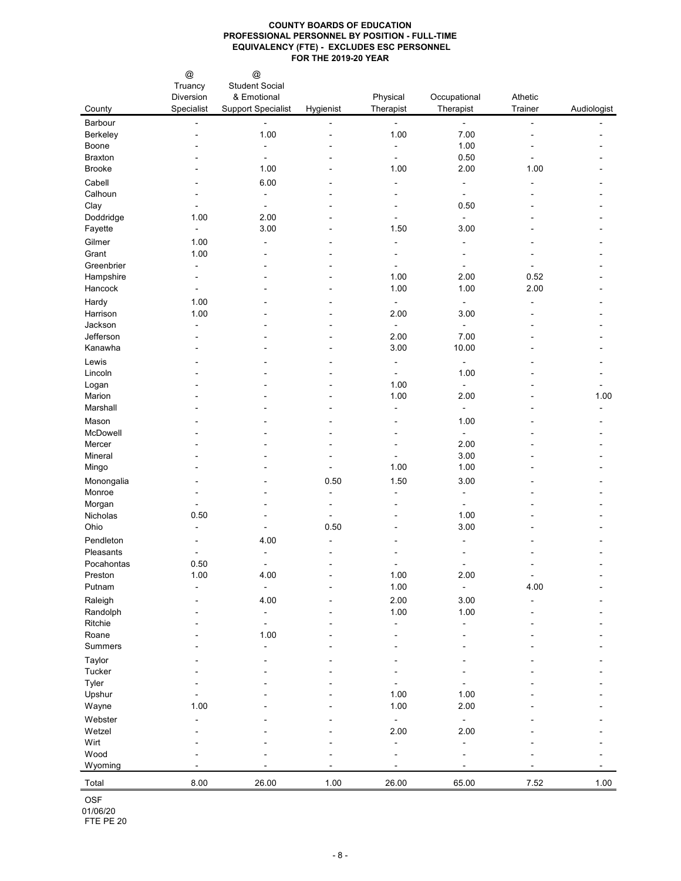|                                     | @<br>Truancy           | $^{\copyright}$<br><b>Student Social</b> |           |                          |                          |         |             |
|-------------------------------------|------------------------|------------------------------------------|-----------|--------------------------|--------------------------|---------|-------------|
|                                     | Diversion              | & Emotional                              |           | Physical                 | Occupational             | Athetic |             |
| County                              | Specialist             | <b>Support Specialist</b>                | Hygienist | Therapist                | Therapist                | Trainer | Audiologist |
| Barbour                             |                        |                                          |           | $\blacksquare$           | $\blacksquare$           | ۰       |             |
| Berkeley                            |                        | 1.00                                     |           | 1.00                     | 7.00                     |         |             |
| Boone                               |                        |                                          |           | ۰                        | 1.00                     |         |             |
| <b>Braxton</b>                      |                        | $\sim$                                   |           | $\blacksquare$           | 0.50                     |         |             |
| <b>Brooke</b>                       |                        | 1.00                                     |           | 1.00                     | 2.00                     | 1.00    |             |
| Cabell<br>Calhoun                   |                        | 6.00                                     |           |                          | $\blacksquare$           |         |             |
| Clay                                |                        |                                          |           |                          | ۰<br>0.50                |         |             |
| Doddridge                           | 1.00                   | 2.00                                     |           |                          |                          |         |             |
| Fayette                             | $\blacksquare$         | 3.00                                     |           | 1.50                     | 3.00                     |         |             |
| Gilmer                              | 1.00                   |                                          |           |                          | -                        |         |             |
| Grant                               | 1.00                   |                                          |           |                          |                          |         |             |
| Greenbrier                          | $\blacksquare$         |                                          |           |                          |                          |         |             |
| Hampshire                           |                        |                                          |           | 1.00                     | 2.00                     | 0.52    |             |
| Hancock                             |                        |                                          |           | 1.00                     | 1.00                     | 2.00    |             |
| Hardy                               | 1.00                   |                                          |           | $\blacksquare$           | $\blacksquare$           |         |             |
| Harrison                            | 1.00                   |                                          |           | 2.00                     | 3.00                     |         |             |
| Jackson                             | $\blacksquare$         |                                          |           |                          | $\overline{\phantom{a}}$ |         |             |
| Jefferson<br>Kanawha                |                        |                                          |           | 2.00<br>3.00             | 7.00<br>10.00            |         |             |
|                                     |                        |                                          |           |                          |                          |         |             |
| Lewis<br>Lincoln                    |                        |                                          |           | $\overline{\phantom{a}}$ | $\blacksquare$<br>1.00   |         |             |
| Logan                               |                        |                                          |           | $\blacksquare$<br>1.00   | Ξ.                       |         |             |
| Marion                              |                        |                                          |           | 1.00                     | 2.00                     |         | 1.00        |
| Marshall                            |                        |                                          |           |                          |                          |         |             |
| Mason                               |                        |                                          |           |                          | 1.00                     |         |             |
| McDowell                            |                        |                                          |           |                          | ۰                        |         |             |
| Mercer                              |                        |                                          |           |                          | 2.00                     |         |             |
| Mineral                             |                        |                                          |           |                          | 3.00                     |         |             |
| Mingo                               |                        |                                          |           | 1.00                     | 1.00                     |         |             |
| Monongalia                          |                        |                                          | 0.50      | 1.50                     | 3.00                     |         |             |
| Monroe                              |                        |                                          |           |                          |                          |         |             |
| Morgan                              |                        |                                          |           |                          |                          |         |             |
| Nicholas<br>Ohio                    | 0.50<br>$\blacksquare$ |                                          | 0.50      |                          | 1.00<br>3.00             |         |             |
| Pendleton                           |                        |                                          |           |                          |                          |         |             |
| Pleasants                           |                        | 4.00                                     |           |                          |                          |         |             |
| Pocahontas                          | 0.50                   | $\sim$                                   |           |                          |                          |         |             |
| Preston                             | 1.00                   | 4.00                                     |           | 1.00                     | 2.00                     |         |             |
| Putnam                              |                        |                                          |           | 1.00                     | $\blacksquare$           | 4.00    |             |
| Raleigh                             |                        | 4.00                                     |           | 2.00                     | 3.00                     |         |             |
| Randolph                            |                        |                                          |           | 1.00                     | 1.00                     |         |             |
| Ritchie                             |                        |                                          |           |                          |                          |         |             |
| Roane                               |                        | 1.00                                     |           |                          |                          |         |             |
| <b>Summers</b>                      |                        |                                          |           |                          |                          |         |             |
| Taylor                              |                        |                                          |           |                          |                          |         |             |
| Tucker                              |                        |                                          |           |                          |                          |         |             |
| Tyler<br>Upshur                     |                        |                                          |           | 1.00                     | 1.00                     |         |             |
| Wayne                               | 1.00                   |                                          |           | 1.00                     | 2.00                     |         |             |
| Webster                             |                        |                                          |           |                          | ۰                        |         |             |
| Wetzel                              |                        |                                          |           | 2.00                     | 2.00                     |         |             |
| Wirt                                |                        |                                          |           |                          |                          |         |             |
| Wood                                |                        |                                          |           |                          |                          |         |             |
| Wyoming                             |                        |                                          |           |                          |                          |         |             |
| Total                               | 8.00                   | 26.00                                    | 1.00      | 26.00                    | 65.00                    | 7.52    | 1.00        |
| <b>OSF</b><br>01/06/20<br>FTE PE 20 |                        |                                          |           |                          |                          |         |             |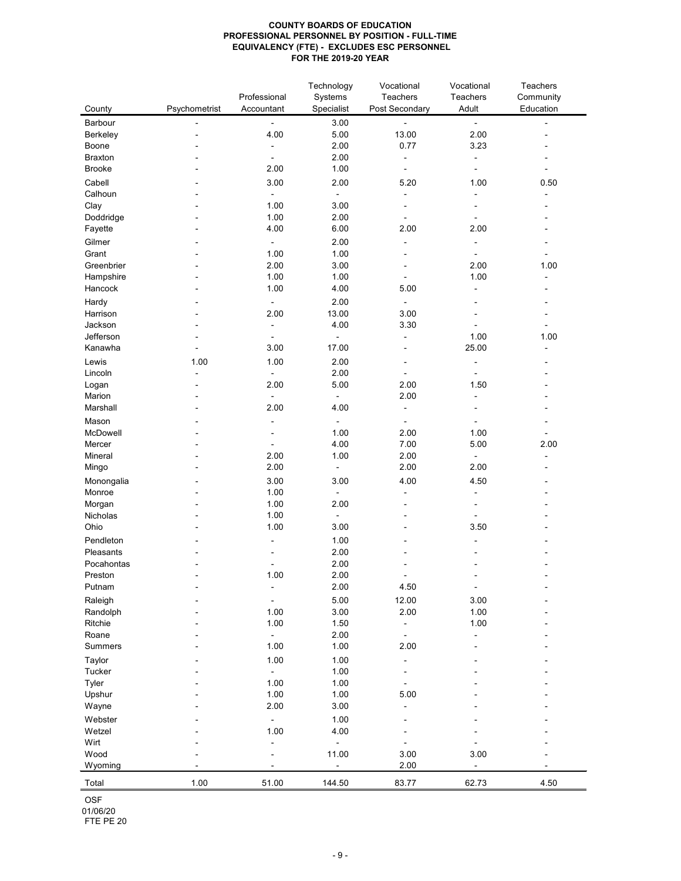| County         | Psychometrist | Professional<br>Accountant | Technology<br>Systems<br>Specialist | Vocational<br>Teachers<br>Post Secondary | Vocational<br><b>Teachers</b><br>Adult | <b>Teachers</b><br>Community<br>Education |
|----------------|---------------|----------------------------|-------------------------------------|------------------------------------------|----------------------------------------|-------------------------------------------|
| Barbour        |               | $\blacksquare$             | 3.00                                |                                          | $\blacksquare$                         |                                           |
| Berkeley       |               | 4.00                       | 5.00                                | 13.00                                    | 2.00                                   |                                           |
| Boone          |               |                            | 2.00                                | 0.77                                     | 3.23                                   |                                           |
| <b>Braxton</b> |               |                            | 2.00                                |                                          | $\blacksquare$                         |                                           |
| <b>Brooke</b>  |               | 2.00                       | 1.00                                |                                          |                                        |                                           |
| Cabell         |               | 3.00                       | 2.00                                | 5.20                                     | 1.00                                   | 0.50                                      |
| Calhoun        |               |                            | $\blacksquare$                      |                                          | $\blacksquare$                         |                                           |
| Clay           |               | 1.00                       | 3.00                                |                                          |                                        |                                           |
| Doddridge      |               | 1.00                       | 2.00                                |                                          |                                        |                                           |
| Fayette        |               | 4.00                       | 6.00                                | 2.00                                     | 2.00                                   |                                           |
| Gilmer         |               | $\blacksquare$             | 2.00                                |                                          |                                        |                                           |
| Grant          |               | 1.00                       | 1.00                                |                                          |                                        |                                           |
| Greenbrier     |               | 2.00                       | 3.00                                |                                          | 2.00                                   | 1.00                                      |
| Hampshire      |               | 1.00                       | 1.00                                |                                          | 1.00                                   |                                           |
| Hancock        |               | 1.00                       | 4.00                                | 5.00                                     | $\blacksquare$                         |                                           |
| Hardy          |               | $\blacksquare$             | 2.00                                |                                          |                                        |                                           |
| Harrison       |               | 2.00                       | 13.00                               | 3.00                                     |                                        |                                           |
| Jackson        |               | $\blacksquare$             | 4.00                                | 3.30                                     |                                        |                                           |
| Jefferson      |               |                            |                                     |                                          | 1.00                                   | 1.00                                      |
| Kanawha        |               | 3.00                       | 17.00                               |                                          | 25.00                                  |                                           |
|                |               |                            |                                     |                                          |                                        |                                           |
| Lewis          | 1.00          | 1.00                       | 2.00                                |                                          | $\blacksquare$                         |                                           |
| Lincoln        |               |                            | 2.00                                |                                          |                                        |                                           |
| Logan          |               | 2.00                       | 5.00                                | 2.00                                     | 1.50                                   |                                           |
| Marion         |               | $\blacksquare$             |                                     | 2.00                                     |                                        |                                           |
| Marshall       |               | 2.00                       | 4.00                                |                                          |                                        |                                           |
| Mason          |               | $\blacksquare$             | $\overline{\phantom{a}}$            |                                          |                                        |                                           |
| McDowell       |               |                            | 1.00                                | 2.00                                     | 1.00                                   | $\blacksquare$                            |
| Mercer         |               |                            | 4.00                                | 7.00                                     | 5.00                                   | 2.00                                      |
| Mineral        |               | 2.00                       | 1.00                                | 2.00                                     | $\blacksquare$                         |                                           |
| Mingo          |               | 2.00                       |                                     | 2.00                                     | 2.00                                   |                                           |
| Monongalia     |               | 3.00                       | 3.00                                | 4.00                                     | 4.50                                   |                                           |
| Monroe         |               | 1.00                       |                                     |                                          |                                        |                                           |
| Morgan         |               | 1.00                       | 2.00                                |                                          |                                        |                                           |
| Nicholas       |               | 1.00                       |                                     |                                          |                                        |                                           |
| Ohio           |               | 1.00                       | 3.00                                |                                          | 3.50                                   |                                           |
| Pendleton      |               |                            | 1.00                                |                                          |                                        |                                           |
| Pleasants      |               |                            | 2.00                                |                                          |                                        |                                           |
| Pocahontas     |               |                            | 2.00                                |                                          |                                        |                                           |
| Preston        |               | 1.00                       | 2.00                                |                                          |                                        |                                           |
| Putnam         |               |                            | 2.00                                | 4.50                                     |                                        |                                           |
|                |               |                            |                                     |                                          |                                        |                                           |
| Raleigh        |               | $\blacksquare$             | 5.00                                | 12.00                                    | 3.00                                   |                                           |
| Randolph       |               | 1.00                       | 3.00                                | 2.00                                     | 1.00                                   |                                           |
| Ritchie        |               | 1.00                       | 1.50                                |                                          | 1.00                                   |                                           |
| Roane          |               | $\blacksquare$             | 2.00                                |                                          |                                        |                                           |
| <b>Summers</b> |               | 1.00                       | 1.00                                | 2.00                                     |                                        |                                           |
| Taylor         |               | 1.00                       | 1.00                                |                                          |                                        |                                           |
| Tucker         |               |                            | 1.00                                |                                          |                                        |                                           |
| Tyler          |               | 1.00                       | 1.00                                |                                          |                                        |                                           |
| Upshur         |               | 1.00                       | 1.00                                | 5.00                                     |                                        |                                           |
| Wayne          |               | 2.00                       | 3.00                                |                                          |                                        |                                           |
| Webster        |               | $\blacksquare$             | 1.00                                |                                          |                                        |                                           |
| Wetzel         |               | 1.00                       | 4.00                                |                                          |                                        |                                           |
| Wirt           |               |                            |                                     |                                          |                                        |                                           |
| Wood           |               |                            | 11.00                               | 3.00                                     | 3.00                                   |                                           |
| Wyoming        |               |                            |                                     | 2.00                                     |                                        |                                           |
| Total          | 1.00          | 51.00                      | 144.50                              | 83.77                                    | 62.73                                  | 4.50                                      |